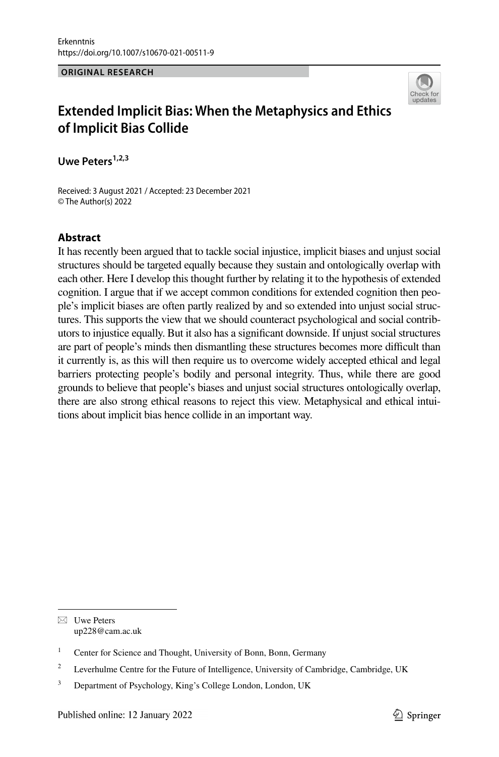#### **ORIGINAL RESEARCH**



# **Extended Implicit Bias: When the Metaphysics and Ethics of Implicit Bias Collide**

Uwe Peters<sup>1,2,3</sup>

Received: 3 August 2021 / Accepted: 23 December 2021 © The Author(s) 2022

# **Abstract**

It has recently been argued that to tackle social injustice, implicit biases and unjust social structures should be targeted equally because they sustain and ontologically overlap with each other. Here I develop this thought further by relating it to the hypothesis of extended cognition. I argue that if we accept common conditions for extended cognition then people's implicit biases are often partly realized by and so extended into unjust social structures. This supports the view that we should counteract psychological and social contributors to injustice equally. But it also has a signifcant downside. If unjust social structures are part of people's minds then dismantling these structures becomes more difficult than it currently is, as this will then require us to overcome widely accepted ethical and legal barriers protecting people's bodily and personal integrity. Thus, while there are good grounds to believe that people's biases and unjust social structures ontologically overlap, there are also strong ethical reasons to reject this view. Metaphysical and ethical intuitions about implicit bias hence collide in an important way.

 $\boxtimes$  Uwe Peters up228@cam.ac.uk

<sup>&</sup>lt;sup>1</sup> Center for Science and Thought, University of Bonn, Bonn, Germany

<sup>&</sup>lt;sup>2</sup> Leverhulme Centre for the Future of Intelligence, University of Cambridge, Cambridge, UK

<sup>&</sup>lt;sup>3</sup> Department of Psychology, King's College London, London, UK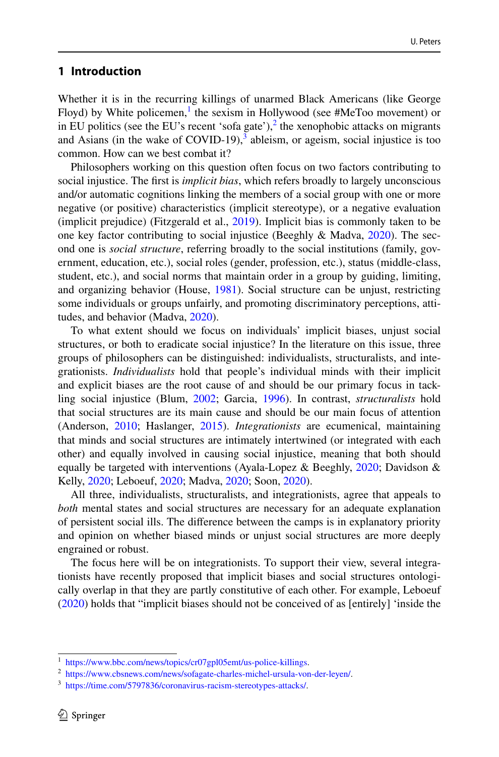# **1 Introduction**

Whether it is in the recurring killings of unarmed Black Americans (like George Floyd) by White policemen,<sup>[1](#page-1-0)</sup> the sexism in Hollywood (see #MeToo movement) or in EU politics (see the EU's recent 'sofa gate'),<sup>2</sup> the xenophobic attacks on migrants and Asians (in the wake of COVID-19), $3$  ableism, or ageism, social injustice is too common. How can we best combat it?

Philosophers working on this question often focus on two factors contributing to social injustice. The frst is *implicit bias*, which refers broadly to largely unconscious and/or automatic cognitions linking the members of a social group with one or more negative (or positive) characteristics (implicit stereotype), or a negative evaluation (implicit prejudice) (Fitzgerald et al., [2019\)](#page-20-0). Implicit bias is commonly taken to be one key factor contributing to social injustice (Beeghly & Madva, [2020](#page-20-1)). The second one is *social structure*, referring broadly to the social institutions (family, government, education, etc.), social roles (gender, profession, etc.), status (middle-class, student, etc.), and social norms that maintain order in a group by guiding, limiting, and organizing behavior (House, [1981](#page-21-0)). Social structure can be unjust, restricting some individuals or groups unfairly, and promoting discriminatory perceptions, attitudes, and behavior (Madva, [2020](#page-21-1)).

To what extent should we focus on individuals' implicit biases, unjust social structures, or both to eradicate social injustice? In the literature on this issue, three groups of philosophers can be distinguished: individualists, structuralists, and integrationists. *Individualists* hold that people's individual minds with their implicit and explicit biases are the root cause of and should be our primary focus in tackling social injustice (Blum, [2002](#page-20-2); Garcia, [1996](#page-21-2)). In contrast, *structuralists* hold that social structures are its main cause and should be our main focus of attention (Anderson, [2010;](#page-20-3) Haslanger, [2015](#page-21-3)). *Integrationists* are ecumenical, maintaining that minds and social structures are intimately intertwined (or integrated with each other) and equally involved in causing social injustice, meaning that both should equally be targeted with interventions (Ayala-Lopez & Beeghly, [2020;](#page-20-4) Davidson & Kelly, [2020](#page-20-5); Leboeuf, [2020;](#page-21-4) Madva, [2020;](#page-21-1) Soon, [2020\)](#page-21-5).

All three, individualists, structuralists, and integrationists, agree that appeals to *both* mental states and social structures are necessary for an adequate explanation of persistent social ills. The diference between the camps is in explanatory priority and opinion on whether biased minds or unjust social structures are more deeply engrained or robust.

The focus here will be on integrationists. To support their view, several integrationists have recently proposed that implicit biases and social structures ontologically overlap in that they are partly constitutive of each other. For example, Leboeuf [\(2020](#page-21-4)) holds that "implicit biases should not be conceived of as [entirely] 'inside the

<span id="page-1-0"></span><sup>1</sup> [https://www.bbc.com/news/topics/cr07gpl05emt/us-police-killings.](https://www.bbc.com/news/topics/cr07gpl05emt/us-police-killings)

<span id="page-1-1"></span><sup>2</sup> [https://www.cbsnews.com/news/sofagate-charles-michel-ursula-von-der-leyen/.](https://www.cbsnews.com/news/sofagate-charles-michel-ursula-von-der-leyen/)

<span id="page-1-2"></span><sup>3</sup> [https://time.com/5797836/coronavirus-racism-stereotypes-attacks/.](https://time.com/5797836/coronavirus-racism-stereotypes-attacks/)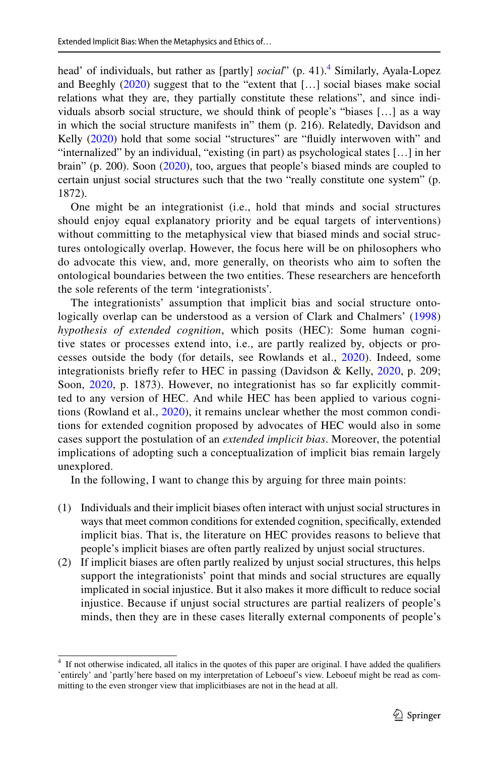head' of individuals, but rather as [partly] *social*" (p. [4](#page-2-0)1).<sup>4</sup> Similarly, Ayala-Lopez and Beeghly ([2020\)](#page-20-4) suggest that to the "extent that […] social biases make social relations what they are, they partially constitute these relations", and since individuals absorb social structure, we should think of people's "biases […] as a way in which the social structure manifests in" them (p. 216). Relatedly, Davidson and Kelly ([2020\)](#page-20-5) hold that some social "structures" are "fluidly interwoven with" and "internalized" by an individual, "existing (in part) as psychological states […] in her brain" (p. 200). Soon ([2020\)](#page-21-5), too, argues that people's biased minds are coupled to certain unjust social structures such that the two "really constitute one system" (p. 1872).

One might be an integrationist (i.e., hold that minds and social structures should enjoy equal explanatory priority and be equal targets of interventions) without committing to the metaphysical view that biased minds and social structures ontologically overlap. However, the focus here will be on philosophers who do advocate this view, and, more generally, on theorists who aim to soften the ontological boundaries between the two entities. These researchers are henceforth the sole referents of the term 'integrationists'.

The integrationists' assumption that implicit bias and social structure onto-logically overlap can be understood as a version of Clark and Chalmers' [\(1998](#page-20-6)) *hypothesis of extended cognition*, which posits (HEC): Some human cognitive states or processes extend into, i.e., are partly realized by, objects or processes outside the body (for details, see Rowlands et al., [2020\)](#page-21-6). Indeed, some integrationists briefy refer to HEC in passing (Davidson & Kelly, [2020,](#page-20-5) p. 209; Soon, [2020](#page-21-5), p. 1873). However, no integrationist has so far explicitly committed to any version of HEC. And while HEC has been applied to various cognitions (Rowland et al., [2020\)](#page-21-6), it remains unclear whether the most common conditions for extended cognition proposed by advocates of HEC would also in some cases support the postulation of an *extended implicit bias*. Moreover, the potential implications of adopting such a conceptualization of implicit bias remain largely unexplored.

In the following, I want to change this by arguing for three main points:

- (1) Individuals and their implicit biases often interact with unjust social structures in ways that meet common conditions for extended cognition, specifcally, extended implicit bias. That is, the literature on HEC provides reasons to believe that people's implicit biases are often partly realized by unjust social structures.
- (2) If implicit biases are often partly realized by unjust social structures, this helps support the integrationists' point that minds and social structures are equally implicated in social injustice. But it also makes it more difficult to reduce social injustice. Because if unjust social structures are partial realizers of people's minds, then they are in these cases literally external components of people's

<span id="page-2-0"></span><sup>&</sup>lt;sup>4</sup> If not otherwise indicated, all italics in the quotes of this paper are original. I have added the qualifiers 'entirely' and 'partly'here based on my interpretation of Leboeuf's view. Leboeuf might be read as committing to the even stronger view that implicitbiases are not in the head at all.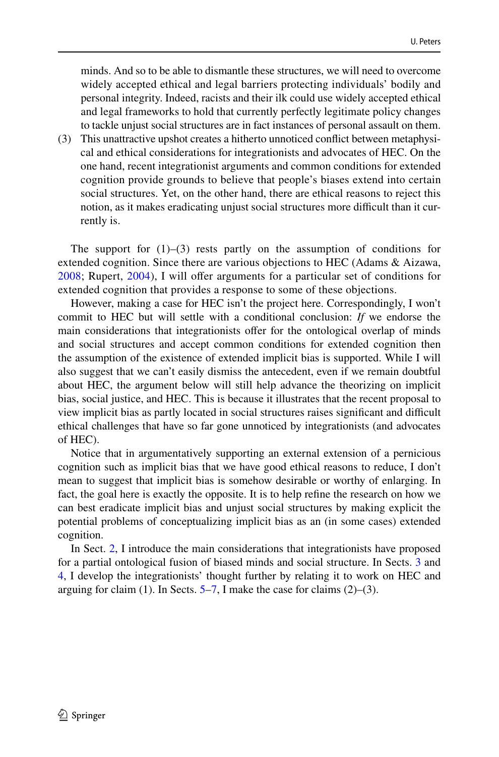minds. And so to be able to dismantle these structures, we will need to overcome widely accepted ethical and legal barriers protecting individuals' bodily and personal integrity. Indeed, racists and their ilk could use widely accepted ethical and legal frameworks to hold that currently perfectly legitimate policy changes to tackle unjust social structures are in fact instances of personal assault on them.

(3) This unattractive upshot creates a hitherto unnoticed confict between metaphysical and ethical considerations for integrationists and advocates of HEC. On the one hand, recent integrationist arguments and common conditions for extended cognition provide grounds to believe that people's biases extend into certain social structures. Yet, on the other hand, there are ethical reasons to reject this notion, as it makes eradicating unjust social structures more difficult than it currently is.

The support for  $(1)$ – $(3)$  rests partly on the assumption of conditions for extended cognition. Since there are various objections to HEC (Adams & Aizawa, [2008;](#page-20-7) Rupert, [2004\)](#page-21-7), I will ofer arguments for a particular set of conditions for extended cognition that provides a response to some of these objections.

However, making a case for HEC isn't the project here. Correspondingly, I won't commit to HEC but will settle with a conditional conclusion: *If* we endorse the main considerations that integrationists ofer for the ontological overlap of minds and social structures and accept common conditions for extended cognition then the assumption of the existence of extended implicit bias is supported. While I will also suggest that we can't easily dismiss the antecedent, even if we remain doubtful about HEC, the argument below will still help advance the theorizing on implicit bias, social justice, and HEC. This is because it illustrates that the recent proposal to view implicit bias as partly located in social structures raises signifcant and difcult ethical challenges that have so far gone unnoticed by integrationists (and advocates of HEC).

Notice that in argumentatively supporting an external extension of a pernicious cognition such as implicit bias that we have good ethical reasons to reduce, I don't mean to suggest that implicit bias is somehow desirable or worthy of enlarging. In fact, the goal here is exactly the opposite. It is to help refne the research on how we can best eradicate implicit bias and unjust social structures by making explicit the potential problems of conceptualizing implicit bias as an (in some cases) extended cognition.

In Sect. [2](#page-4-0), I introduce the main considerations that integrationists have proposed for a partial ontological fusion of biased minds and social structure. In Sects. [3](#page-5-0) and [4](#page-7-0), I develop the integrationists' thought further by relating it to work on HEC and arguing for claim (1). In Sects.  $5-7$ , I make the case for claims (2)–(3).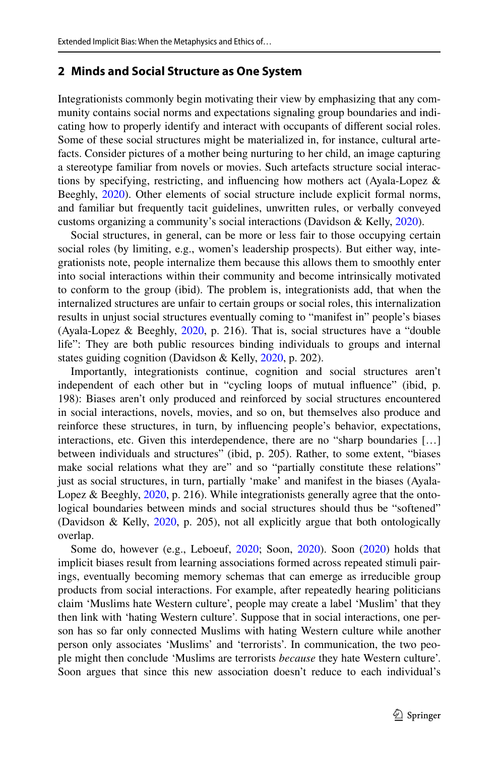## <span id="page-4-0"></span>**2 Minds and Social Structure as One System**

Integrationists commonly begin motivating their view by emphasizing that any community contains social norms and expectations signaling group boundaries and indicating how to properly identify and interact with occupants of diferent social roles. Some of these social structures might be materialized in, for instance, cultural artefacts. Consider pictures of a mother being nurturing to her child, an image capturing a stereotype familiar from novels or movies. Such artefacts structure social interactions by specifying, restricting, and infuencing how mothers act (Ayala-Lopez & Beeghly, [2020\)](#page-20-4). Other elements of social structure include explicit formal norms, and familiar but frequently tacit guidelines, unwritten rules, or verbally conveyed customs organizing a community's social interactions (Davidson & Kelly, [2020](#page-20-5)).

Social structures, in general, can be more or less fair to those occupying certain social roles (by limiting, e.g., women's leadership prospects). But either way, integrationists note, people internalize them because this allows them to smoothly enter into social interactions within their community and become intrinsically motivated to conform to the group (ibid). The problem is, integrationists add, that when the internalized structures are unfair to certain groups or social roles, this internalization results in unjust social structures eventually coming to "manifest in" people's biases (Ayala-Lopez & Beeghly, [2020,](#page-20-4) p. 216). That is, social structures have a "double life": They are both public resources binding individuals to groups and internal states guiding cognition (Davidson & Kelly, [2020,](#page-20-5) p. 202).

Importantly, integrationists continue, cognition and social structures aren't independent of each other but in "cycling loops of mutual infuence" (ibid, p. 198): Biases aren't only produced and reinforced by social structures encountered in social interactions, novels, movies, and so on, but themselves also produce and reinforce these structures, in turn, by infuencing people's behavior, expectations, interactions, etc. Given this interdependence, there are no "sharp boundaries […] between individuals and structures" (ibid, p. 205). Rather, to some extent, "biases make social relations what they are" and so "partially constitute these relations" just as social structures, in turn, partially 'make' and manifest in the biases (Ayala-Lopez & Beeghly, [2020,](#page-20-4) p. 216). While integrationists generally agree that the ontological boundaries between minds and social structures should thus be "softened" (Davidson & Kelly, [2020](#page-20-5), p. 205), not all explicitly argue that both ontologically overlap.

Some do, however (e.g., Leboeuf, [2020;](#page-21-4) Soon, [2020](#page-21-5)). Soon [\(2020](#page-21-5)) holds that implicit biases result from learning associations formed across repeated stimuli pairings, eventually becoming memory schemas that can emerge as irreducible group products from social interactions. For example, after repeatedly hearing politicians claim 'Muslims hate Western culture', people may create a label 'Muslim' that they then link with 'hating Western culture'. Suppose that in social interactions, one person has so far only connected Muslims with hating Western culture while another person only associates 'Muslims' and 'terrorists'. In communication, the two people might then conclude 'Muslims are terrorists *because* they hate Western culture'. Soon argues that since this new association doesn't reduce to each individual's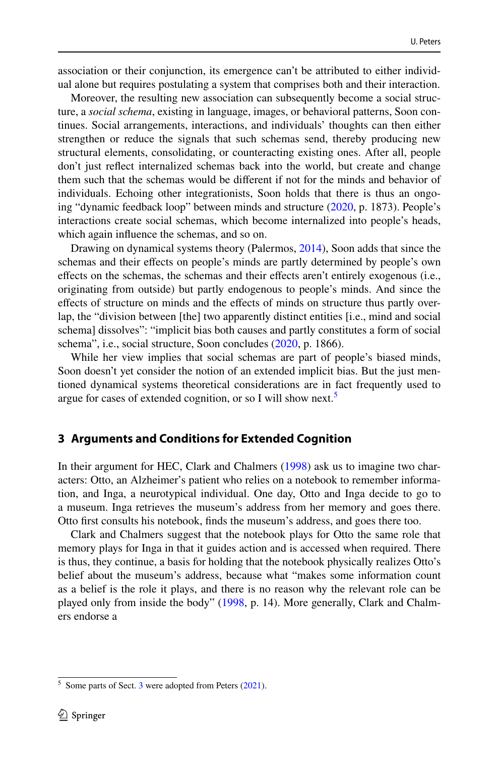association or their conjunction, its emergence can't be attributed to either individual alone but requires postulating a system that comprises both and their interaction.

Moreover, the resulting new association can subsequently become a social structure, a *social schema*, existing in language, images, or behavioral patterns, Soon continues. Social arrangements, interactions, and individuals' thoughts can then either strengthen or reduce the signals that such schemas send, thereby producing new structural elements, consolidating, or counteracting existing ones. After all, people don't just refect internalized schemas back into the world, but create and change them such that the schemas would be diferent if not for the minds and behavior of individuals. Echoing other integrationists, Soon holds that there is thus an ongoing "dynamic feedback loop" between minds and structure [\(2020](#page-21-5), p. 1873). People's interactions create social schemas, which become internalized into people's heads, which again infuence the schemas, and so on.

Drawing on dynamical systems theory (Palermos, [2014\)](#page-21-8), Soon adds that since the schemas and their efects on people's minds are partly determined by people's own efects on the schemas, the schemas and their efects aren't entirely exogenous (i.e., originating from outside) but partly endogenous to people's minds. And since the efects of structure on minds and the efects of minds on structure thus partly overlap, the "division between [the] two apparently distinct entities [i.e., mind and social schema] dissolves": "implicit bias both causes and partly constitutes a form of social schema", i.e., social structure, Soon concludes [\(2020](#page-21-5), p. 1866).

While her view implies that social schemas are part of people's biased minds, Soon doesn't yet consider the notion of an extended implicit bias. But the just mentioned dynamical systems theoretical considerations are in fact frequently used to argue for cases of extended cognition, or so I will show next.<sup>5</sup>

## <span id="page-5-0"></span>**3 Arguments and Conditions for Extended Cognition**

In their argument for HEC, Clark and Chalmers ([1998\)](#page-20-6) ask us to imagine two characters: Otto, an Alzheimer's patient who relies on a notebook to remember information, and Inga, a neurotypical individual. One day, Otto and Inga decide to go to a museum. Inga retrieves the museum's address from her memory and goes there. Otto frst consults his notebook, fnds the museum's address, and goes there too.

Clark and Chalmers suggest that the notebook plays for Otto the same role that memory plays for Inga in that it guides action and is accessed when required. There is thus, they continue, a basis for holding that the notebook physically realizes Otto's belief about the museum's address, because what "makes some information count as a belief is the role it plays, and there is no reason why the relevant role can be played only from inside the body" [\(1998](#page-20-6), p. 14). More generally, Clark and Chalmers endorse a

<span id="page-5-1"></span> $5$  Some parts of Sect. [3](#page-5-0) were adopted from Peters [\(2021](#page-21-9)).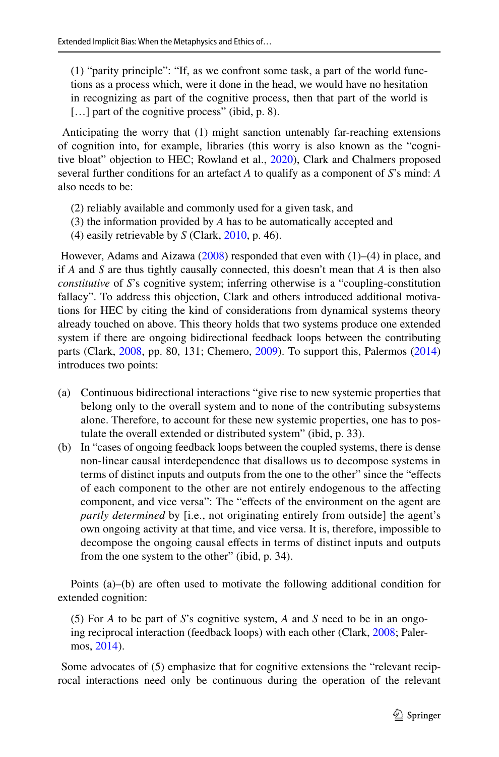(1) "parity principle": "If, as we confront some task, a part of the world functions as a process which, were it done in the head, we would have no hesitation in recognizing as part of the cognitive process, then that part of the world is [...] part of the cognitive process" (ibid, p. 8).

 Anticipating the worry that (1) might sanction untenably far-reaching extensions of cognition into, for example, libraries (this worry is also known as the "cognitive bloat" objection to HEC; Rowland et al., [2020](#page-21-6)), Clark and Chalmers proposed several further conditions for an artefact *A* to qualify as a component of *S*'s mind: *A* also needs to be:

- (2) reliably available and commonly used for a given task, and
- (3) the information provided by *A* has to be automatically accepted and
- (4) easily retrievable by *S* (Clark, [2010](#page-20-8), p. 46).

However, Adams and Aizawa ([2008\)](#page-20-7) responded that even with  $(1)$ –(4) in place, and if *A* and *S* are thus tightly causally connected, this doesn't mean that *A* is then also *constitutive* of *S*'s cognitive system; inferring otherwise is a "coupling-constitution fallacy". To address this objection, Clark and others introduced additional motivations for HEC by citing the kind of considerations from dynamical systems theory already touched on above. This theory holds that two systems produce one extended system if there are ongoing bidirectional feedback loops between the contributing parts (Clark, [2008,](#page-20-9) pp. 80, 131; Chemero, [2009\)](#page-20-10). To support this, Palermos [\(2014](#page-21-8)) introduces two points:

- (a) Continuous bidirectional interactions "give rise to new systemic properties that belong only to the overall system and to none of the contributing subsystems alone. Therefore, to account for these new systemic properties, one has to postulate the overall extended or distributed system" (ibid, p. 33).
- (b) In "cases of ongoing feedback loops between the coupled systems, there is dense non-linear causal interdependence that disallows us to decompose systems in terms of distinct inputs and outputs from the one to the other" since the "effects of each component to the other are not entirely endogenous to the afecting component, and vice versa": The "efects of the environment on the agent are *partly determined* by [i.e., not originating entirely from outside] the agent's own ongoing activity at that time, and vice versa. It is, therefore, impossible to decompose the ongoing causal efects in terms of distinct inputs and outputs from the one system to the other" (ibid, p. 34).

Points (a)–(b) are often used to motivate the following additional condition for extended cognition:

(5) For *A* to be part of *S*'s cognitive system, *A* and *S* need to be in an ongoing reciprocal interaction (feedback loops) with each other (Clark, [2008](#page-20-9); Palermos, [2014](#page-21-8)).

 Some advocates of (5) emphasize that for cognitive extensions the "relevant reciprocal interactions need only be continuous during the operation of the relevant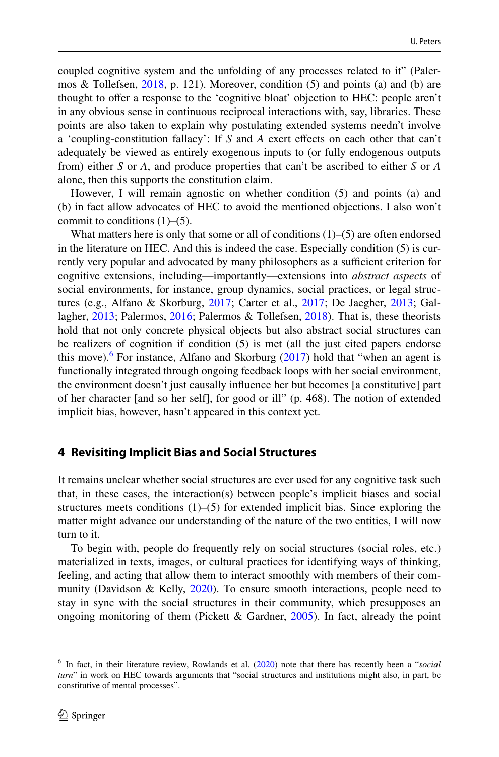coupled cognitive system and the unfolding of any processes related to it" (Palermos & Tollefsen, [2018,](#page-21-10) p. 121). Moreover, condition (5) and points (a) and (b) are thought to ofer a response to the 'cognitive bloat' objection to HEC: people aren't in any obvious sense in continuous reciprocal interactions with, say, libraries. These points are also taken to explain why postulating extended systems needn't involve a 'coupling-constitution fallacy': If *S* and *A* exert efects on each other that can't adequately be viewed as entirely exogenous inputs to (or fully endogenous outputs from) either *S* or *A*, and produce properties that can't be ascribed to either *S* or *A* alone, then this supports the constitution claim.

However, I will remain agnostic on whether condition (5) and points (a) and (b) in fact allow advocates of HEC to avoid the mentioned objections. I also won't commit to conditions  $(1)$ – $(5)$ .

What matters here is only that some or all of conditions  $(1)$ – $(5)$  are often endorsed in the literature on HEC. And this is indeed the case. Especially condition (5) is currently very popular and advocated by many philosophers as a sufficient criterion for cognitive extensions, including—importantly—extensions into *abstract aspects* of social environments, for instance, group dynamics, social practices, or legal structures (e.g., Alfano & Skorburg, [2017;](#page-20-11) Carter et al., [2017;](#page-20-12) De Jaegher, [2013](#page-20-13); Gallagher, [2013](#page-20-14); Palermos, [2016;](#page-21-11) Palermos & Tollefsen, [2018\)](#page-21-10). That is, these theorists hold that not only concrete physical objects but also abstract social structures can be realizers of cognition if condition (5) is met (all the just cited papers endorse this move).<sup>[6](#page-7-1)</sup> For instance, Alfano and Skorburg  $(2017)$  $(2017)$  hold that "when an agent is functionally integrated through ongoing feedback loops with her social environment, the environment doesn't just causally infuence her but becomes [a constitutive] part of her character [and so her self], for good or ill" (p. 468). The notion of extended implicit bias, however, hasn't appeared in this context yet.

## <span id="page-7-0"></span>**4 Revisiting Implicit Bias and Social Structures**

It remains unclear whether social structures are ever used for any cognitive task such that, in these cases, the interaction(s) between people's implicit biases and social structures meets conditions  $(1)$ – $(5)$  for extended implicit bias. Since exploring the matter might advance our understanding of the nature of the two entities, I will now turn to it.

To begin with, people do frequently rely on social structures (social roles, etc.) materialized in texts, images, or cultural practices for identifying ways of thinking, feeling, and acting that allow them to interact smoothly with members of their community (Davidson & Kelly, [2020](#page-20-5)). To ensure smooth interactions, people need to stay in sync with the social structures in their community, which presupposes an ongoing monitoring of them (Pickett & Gardner,  $2005$ ). In fact, already the point

<span id="page-7-1"></span><sup>6</sup> In fact, in their literature review, Rowlands et al. ([2020\)](#page-21-6) note that there has recently been a "*social turn*" in work on HEC towards arguments that "social structures and institutions might also, in part, be constitutive of mental processes".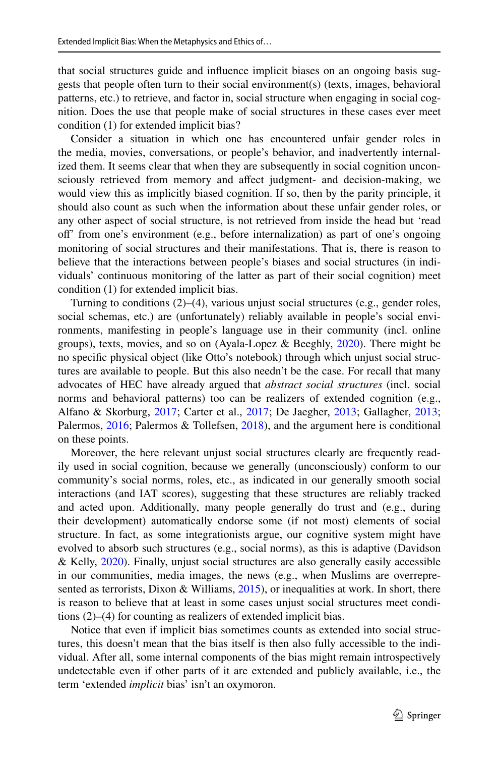that social structures guide and infuence implicit biases on an ongoing basis suggests that people often turn to their social environment(s) (texts, images, behavioral patterns, etc.) to retrieve, and factor in, social structure when engaging in social cognition. Does the use that people make of social structures in these cases ever meet condition (1) for extended implicit bias?

Consider a situation in which one has encountered unfair gender roles in the media, movies, conversations, or people's behavior, and inadvertently internalized them. It seems clear that when they are subsequently in social cognition unconsciously retrieved from memory and afect judgment- and decision-making, we would view this as implicitly biased cognition. If so, then by the parity principle, it should also count as such when the information about these unfair gender roles, or any other aspect of social structure, is not retrieved from inside the head but 'read of' from one's environment (e.g., before internalization) as part of one's ongoing monitoring of social structures and their manifestations. That is, there is reason to believe that the interactions between people's biases and social structures (in individuals' continuous monitoring of the latter as part of their social cognition) meet condition (1) for extended implicit bias.

Turning to conditions (2)–(4), various unjust social structures (e.g., gender roles, social schemas, etc.) are (unfortunately) reliably available in people's social environments, manifesting in people's language use in their community (incl. online groups), texts, movies, and so on (Ayala-Lopez & Beeghly, [2020\)](#page-20-4). There might be no specifc physical object (like Otto's notebook) through which unjust social structures are available to people. But this also needn't be the case. For recall that many advocates of HEC have already argued that *abstract social structures* (incl. social norms and behavioral patterns) too can be realizers of extended cognition (e.g., Alfano & Skorburg, [2017;](#page-20-11) Carter et al., [2017;](#page-20-12) De Jaegher, [2013](#page-20-13); Gallagher, [2013;](#page-20-14) Palermos, [2016;](#page-21-11) Palermos & Tollefsen, [2018\)](#page-21-10), and the argument here is conditional on these points.

Moreover, the here relevant unjust social structures clearly are frequently readily used in social cognition, because we generally (unconsciously) conform to our community's social norms, roles, etc., as indicated in our generally smooth social interactions (and IAT scores), suggesting that these structures are reliably tracked and acted upon. Additionally, many people generally do trust and (e.g., during their development) automatically endorse some (if not most) elements of social structure. In fact, as some integrationists argue, our cognitive system might have evolved to absorb such structures (e.g., social norms), as this is adaptive (Davidson & Kelly, [2020\)](#page-20-5). Finally, unjust social structures are also generally easily accessible in our communities, media images, the news (e.g., when Muslims are overrepresented as terrorists, Dixon & Williams,  $2015$ ), or inequalities at work. In short, there is reason to believe that at least in some cases unjust social structures meet conditions (2)–(4) for counting as realizers of extended implicit bias.

Notice that even if implicit bias sometimes counts as extended into social structures, this doesn't mean that the bias itself is then also fully accessible to the individual. After all, some internal components of the bias might remain introspectively undetectable even if other parts of it are extended and publicly available, i.e., the term 'extended *implicit* bias' isn't an oxymoron.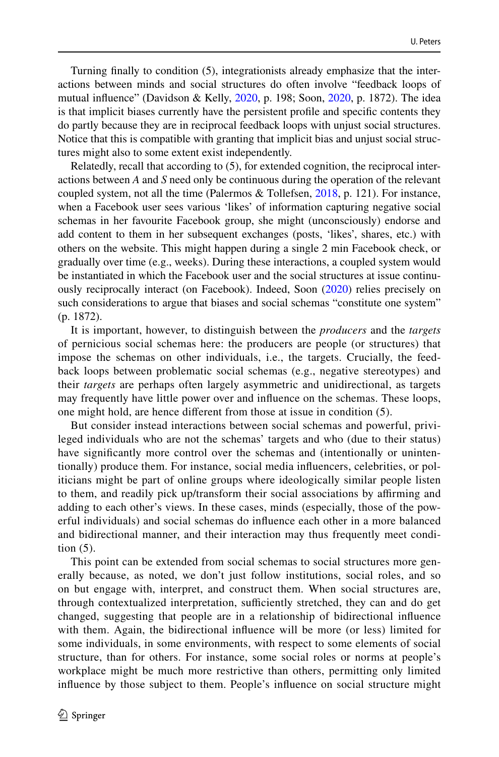Turning fnally to condition (5), integrationists already emphasize that the interactions between minds and social structures do often involve "feedback loops of mutual infuence" (Davidson & Kelly, [2020,](#page-20-5) p. 198; Soon, [2020](#page-21-5), p. 1872). The idea is that implicit biases currently have the persistent profle and specifc contents they do partly because they are in reciprocal feedback loops with unjust social structures. Notice that this is compatible with granting that implicit bias and unjust social structures might also to some extent exist independently.

Relatedly, recall that according to (5), for extended cognition, the reciprocal interactions between *A* and *S* need only be continuous during the operation of the relevant coupled system, not all the time (Palermos & Tollefsen, [2018,](#page-21-10) p. 121). For instance, when a Facebook user sees various 'likes' of information capturing negative social schemas in her favourite Facebook group, she might (unconsciously) endorse and add content to them in her subsequent exchanges (posts, 'likes', shares, etc.) with others on the website. This might happen during a single 2 min Facebook check, or gradually over time (e.g., weeks). During these interactions, a coupled system would be instantiated in which the Facebook user and the social structures at issue continuously reciprocally interact (on Facebook). Indeed, Soon ([2020\)](#page-21-5) relies precisely on such considerations to argue that biases and social schemas "constitute one system" (p. 1872).

It is important, however, to distinguish between the *producers* and the *targets* of pernicious social schemas here: the producers are people (or structures) that impose the schemas on other individuals, i.e., the targets. Crucially, the feedback loops between problematic social schemas (e.g., negative stereotypes) and their *targets* are perhaps often largely asymmetric and unidirectional, as targets may frequently have little power over and infuence on the schemas. These loops, one might hold, are hence diferent from those at issue in condition (5).

But consider instead interactions between social schemas and powerful, privileged individuals who are not the schemas' targets and who (due to their status) have signifcantly more control over the schemas and (intentionally or unintentionally) produce them. For instance, social media infuencers, celebrities, or politicians might be part of online groups where ideologically similar people listen to them, and readily pick up/transform their social associations by afrming and adding to each other's views. In these cases, minds (especially, those of the powerful individuals) and social schemas do infuence each other in a more balanced and bidirectional manner, and their interaction may thus frequently meet condition (5).

This point can be extended from social schemas to social structures more generally because, as noted, we don't just follow institutions, social roles, and so on but engage with, interpret, and construct them. When social structures are, through contextualized interpretation, sufficiently stretched, they can and do get changed, suggesting that people are in a relationship of bidirectional infuence with them. Again, the bidirectional infuence will be more (or less) limited for some individuals, in some environments, with respect to some elements of social structure, than for others. For instance, some social roles or norms at people's workplace might be much more restrictive than others, permitting only limited infuence by those subject to them. People's infuence on social structure might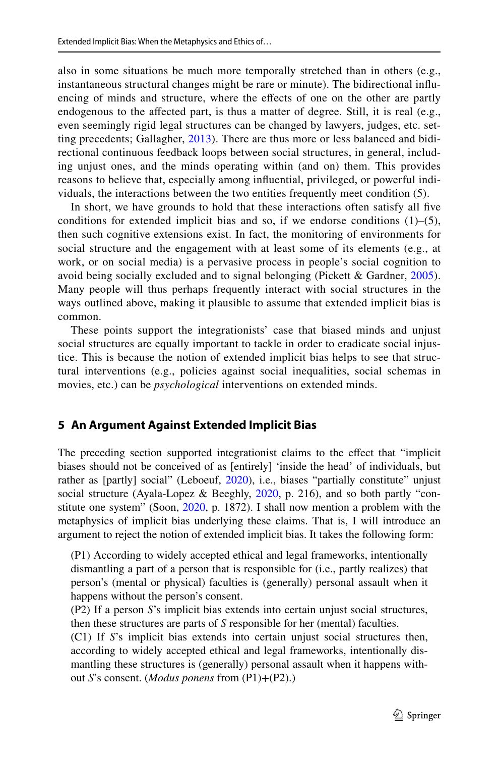also in some situations be much more temporally stretched than in others (e.g., instantaneous structural changes might be rare or minute). The bidirectional infuencing of minds and structure, where the efects of one on the other are partly endogenous to the afected part, is thus a matter of degree. Still, it is real (e.g., even seemingly rigid legal structures can be changed by lawyers, judges, etc. setting precedents; Gallagher, [2013](#page-20-14)). There are thus more or less balanced and bidirectional continuous feedback loops between social structures, in general, including unjust ones, and the minds operating within (and on) them. This provides reasons to believe that, especially among infuential, privileged, or powerful individuals, the interactions between the two entities frequently meet condition (5).

In short, we have grounds to hold that these interactions often satisfy all fve conditions for extended implicit bias and so, if we endorse conditions  $(1)$ – $(5)$ , then such cognitive extensions exist. In fact, the monitoring of environments for social structure and the engagement with at least some of its elements (e.g., at work, or on social media) is a pervasive process in people's social cognition to avoid being socially excluded and to signal belonging (Pickett & Gardner, [2005](#page-21-12)). Many people will thus perhaps frequently interact with social structures in the ways outlined above, making it plausible to assume that extended implicit bias is common.

These points support the integrationists' case that biased minds and unjust social structures are equally important to tackle in order to eradicate social injustice. This is because the notion of extended implicit bias helps to see that structural interventions (e.g., policies against social inequalities, social schemas in movies, etc.) can be *psychological* interventions on extended minds.

# <span id="page-10-0"></span>**5 An Argument Against Extended Implicit Bias**

The preceding section supported integrationist claims to the efect that "implicit biases should not be conceived of as [entirely] 'inside the head' of individuals, but rather as [partly] social" (Leboeuf, [2020\)](#page-21-4), i.e., biases "partially constitute" unjust social structure (Ayala-Lopez & Beeghly, [2020](#page-20-4), p. 216), and so both partly "constitute one system" (Soon, [2020,](#page-21-5) p. 1872). I shall now mention a problem with the metaphysics of implicit bias underlying these claims. That is, I will introduce an argument to reject the notion of extended implicit bias. It takes the following form:

(P1) According to widely accepted ethical and legal frameworks, intentionally dismantling a part of a person that is responsible for (i.e., partly realizes) that person's (mental or physical) faculties is (generally) personal assault when it happens without the person's consent.

(P2) If a person *S*'s implicit bias extends into certain unjust social structures, then these structures are parts of *S* responsible for her (mental) faculties.

(C1) If *S*'s implicit bias extends into certain unjust social structures then, according to widely accepted ethical and legal frameworks, intentionally dismantling these structures is (generally) personal assault when it happens without *S*'s consent. (*Modus ponens* from (P1)+(P2).)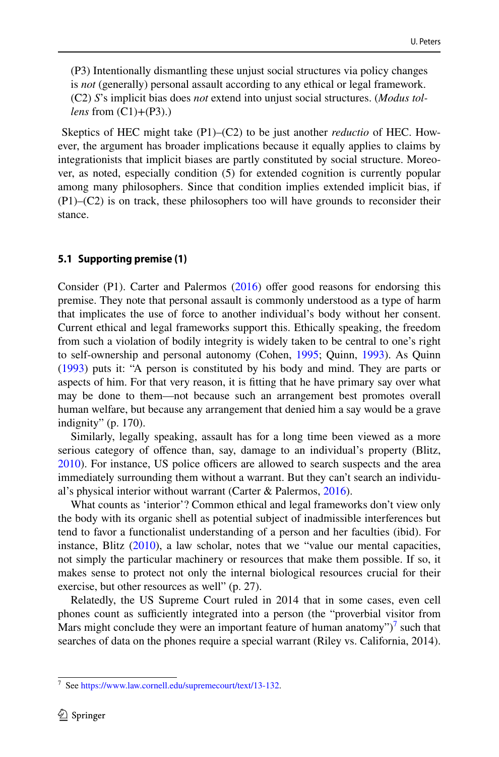(P3) Intentionally dismantling these unjust social structures via policy changes is *not* (generally) personal assault according to any ethical or legal framework. (C2) *S*'s implicit bias does *not* extend into unjust social structures. (*Modus tollens* from (C1)+(P3).)

 Skeptics of HEC might take (P1)–(C2) to be just another *reductio* of HEC. However, the argument has broader implications because it equally applies to claims by integrationists that implicit biases are partly constituted by social structure. Moreover, as noted, especially condition (5) for extended cognition is currently popular among many philosophers. Since that condition implies extended implicit bias, if (P1)–(C2) is on track, these philosophers too will have grounds to reconsider their stance.

#### **5.1 Supporting premise (1)**

Consider (P1). Carter and Palermos [\(2016](#page-20-16)) offer good reasons for endorsing this premise. They note that personal assault is commonly understood as a type of harm that implicates the use of force to another individual's body without her consent. Current ethical and legal frameworks support this. Ethically speaking, the freedom from such a violation of bodily integrity is widely taken to be central to one's right to self-ownership and personal autonomy (Cohen, [1995;](#page-20-17) Quinn, [1993\)](#page-21-13). As Quinn [\(1993](#page-21-13)) puts it: "A person is constituted by his body and mind. They are parts or aspects of him. For that very reason, it is ftting that he have primary say over what may be done to them—not because such an arrangement best promotes overall human welfare, but because any arrangement that denied him a say would be a grave indignity" (p. 170).

Similarly, legally speaking, assault has for a long time been viewed as a more serious category of ofence than, say, damage to an individual's property (Blitz,  $2010$ ). For instance, US police officers are allowed to search suspects and the area immediately surrounding them without a warrant. But they can't search an individual's physical interior without warrant (Carter & Palermos, [2016\)](#page-20-16).

What counts as 'interior'? Common ethical and legal frameworks don't view only the body with its organic shell as potential subject of inadmissible interferences but tend to favor a functionalist understanding of a person and her faculties (ibid). For instance, Blitz [\(2010](#page-20-18)), a law scholar, notes that we "value our mental capacities, not simply the particular machinery or resources that make them possible. If so, it makes sense to protect not only the internal biological resources crucial for their exercise, but other resources as well" (p. 27).

Relatedly, the US Supreme Court ruled in 2014 that in some cases, even cell phones count as sufficiently integrated into a person (the "proverbial visitor from Mars might conclude they were an important feature of human anatomy" $)^7$  such that searches of data on the phones require a special warrant (Riley vs. California, 2014).

<span id="page-11-0"></span><sup>7</sup> See [https://www.law.cornell.edu/supremecourt/text/13-132.](https://www.law.cornell.edu/supremecourt/text/13-132)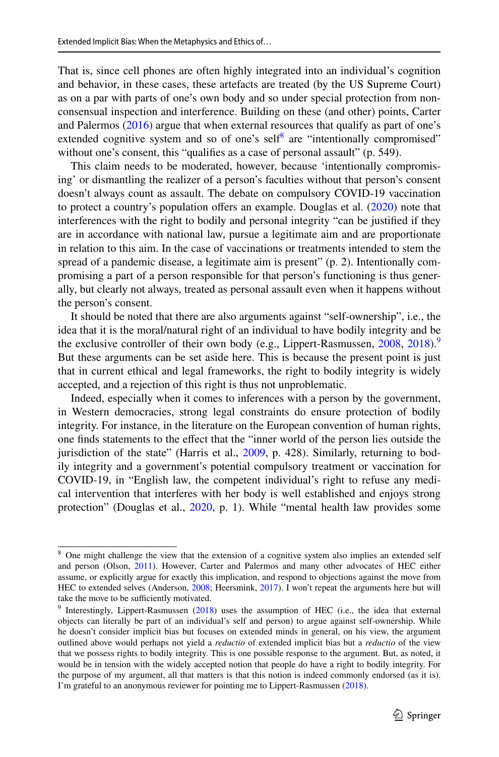That is, since cell phones are often highly integrated into an individual's cognition and behavior, in these cases, these artefacts are treated (by the US Supreme Court) as on a par with parts of one's own body and so under special protection from nonconsensual inspection and interference. Building on these (and other) points, Carter and Palermos [\(2016](#page-20-16)) argue that when external resources that qualify as part of one's extended cognitive system and so of one's self<sup>[8](#page-12-0)</sup> are "intentionally compromised" without one's consent, this "qualifies as a case of personal assault" (p. 549).

This claim needs to be moderated, however, because 'intentionally compromising' or dismantling the realizer of a person's faculties without that person's consent doesn't always count as assault. The debate on compulsory COVID-19 vaccination to protect a country's population offers an example. Douglas et al. ([2020\)](#page-20-19) note that interferences with the right to bodily and personal integrity "can be justifed if they are in accordance with national law, pursue a legitimate aim and are proportionate in relation to this aim. In the case of vaccinations or treatments intended to stem the spread of a pandemic disease, a legitimate aim is present" (p. 2). Intentionally compromising a part of a person responsible for that person's functioning is thus generally, but clearly not always, treated as personal assault even when it happens without the person's consent.

It should be noted that there are also arguments against "self-ownership", i.e., the idea that it is the moral/natural right of an individual to have bodily integrity and be the exclusive controller of their own body (e.g., Lippert-Rasmussen,  $2008$ ,  $2018$ ).<sup>[9](#page-12-1)</sup> But these arguments can be set aside here. This is because the present point is just that in current ethical and legal frameworks, the right to bodily integrity is widely accepted, and a rejection of this right is thus not unproblematic.

Indeed, especially when it comes to inferences with a person by the government, in Western democracies, strong legal constraints do ensure protection of bodily integrity. For instance, in the literature on the European convention of human rights, one fnds statements to the efect that the "inner world of the person lies outside the jurisdiction of the state" (Harris et al., [2009,](#page-21-16) p. 428). Similarly, returning to bodily integrity and a government's potential compulsory treatment or vaccination for COVID-19, in "English law, the competent individual's right to refuse any medical intervention that interferes with her body is well established and enjoys strong protection" (Douglas et al., [2020](#page-20-19), p. 1). While "mental health law provides some

<span id="page-12-0"></span><sup>&</sup>lt;sup>8</sup> One might challenge the view that the extension of a cognitive system also implies an extended self and person (Olson, [2011](#page-21-17)). However, Carter and Palermos and many other advocates of HEC either assume, or explicitly argue for exactly this implication, and respond to objections against the move from HEC to extended selves (Anderson, [2008;](#page-20-20) Heersmink, [2017](#page-21-18)). I won't repeat the arguments here but will take the move to be sufficiently motivated.

<span id="page-12-1"></span><sup>&</sup>lt;sup>9</sup> Interestingly, Lippert-Rasmussen  $(2018)$  $(2018)$  uses the assumption of HEC (i.e., the idea that external objects can literally be part of an individual's self and person) to argue against self-ownership. While he doesn't consider implicit bias but focuses on extended minds in general, on his view, the argument outlined above would perhaps not yield a *reductio* of extended implicit bias but a *reductio* of the view that we possess rights to bodily integrity. This is one possible response to the argument. But, as noted, it would be in tension with the widely accepted notion that people do have a right to bodily integrity. For the purpose of my argument, all that matters is that this notion is indeed commonly endorsed (as it is). I'm grateful to an anonymous reviewer for pointing me to Lippert-Rasmussen [\(2018](#page-21-15)).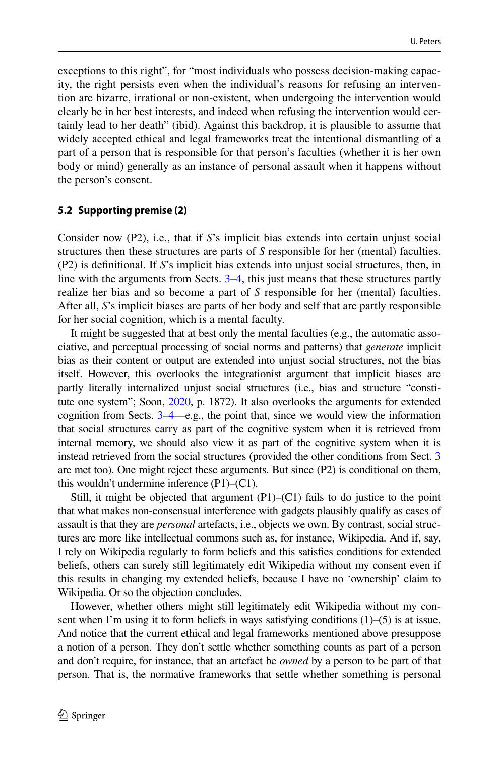exceptions to this right", for "most individuals who possess decision-making capacity, the right persists even when the individual's reasons for refusing an intervention are bizarre, irrational or non-existent, when undergoing the intervention would clearly be in her best interests, and indeed when refusing the intervention would certainly lead to her death" (ibid). Against this backdrop, it is plausible to assume that widely accepted ethical and legal frameworks treat the intentional dismantling of a part of a person that is responsible for that person's faculties (whether it is her own body or mind) generally as an instance of personal assault when it happens without the person's consent.

#### **5.2 Supporting premise (2)**

Consider now (P2), i.e., that if *S*'s implicit bias extends into certain unjust social structures then these structures are parts of *S* responsible for her (mental) faculties. (P2) is defnitional. If *S*'s implicit bias extends into unjust social structures, then, in line with the arguments from Sects. [3](#page-5-0)[–4](#page-7-0), this just means that these structures partly realize her bias and so become a part of *S* responsible for her (mental) faculties. After all, *S*'s implicit biases are parts of her body and self that are partly responsible for her social cognition, which is a mental faculty.

It might be suggested that at best only the mental faculties (e.g., the automatic associative, and perceptual processing of social norms and patterns) that *generate* implicit bias as their content or output are extended into unjust social structures, not the bias itself. However, this overlooks the integrationist argument that implicit biases are partly literally internalized unjust social structures (i.e., bias and structure "constitute one system"; Soon, [2020,](#page-21-5) p. 1872). It also overlooks the arguments for extended cognition from Sects. [3](#page-5-0)[–4](#page-7-0)—e.g., the point that, since we would view the information that social structures carry as part of the cognitive system when it is retrieved from internal memory, we should also view it as part of the cognitive system when it is instead retrieved from the social structures (provided the other conditions from Sect. [3](#page-5-0) are met too). One might reject these arguments. But since (P2) is conditional on them, this wouldn't undermine inference (P1)–(C1).

Still, it might be objected that argument  $(P1)$ – $(C1)$  fails to do justice to the point that what makes non-consensual interference with gadgets plausibly qualify as cases of assault is that they are *personal* artefacts, i.e., objects we own. By contrast, social structures are more like intellectual commons such as, for instance, Wikipedia. And if, say, I rely on Wikipedia regularly to form beliefs and this satisfes conditions for extended beliefs, others can surely still legitimately edit Wikipedia without my consent even if this results in changing my extended beliefs, because I have no 'ownership' claim to Wikipedia. Or so the objection concludes.

However, whether others might still legitimately edit Wikipedia without my consent when I'm using it to form beliefs in ways satisfying conditions  $(1)$ – $(5)$  is at issue. And notice that the current ethical and legal frameworks mentioned above presuppose a notion of a person. They don't settle whether something counts as part of a person and don't require, for instance, that an artefact be *owned* by a person to be part of that person. That is, the normative frameworks that settle whether something is personal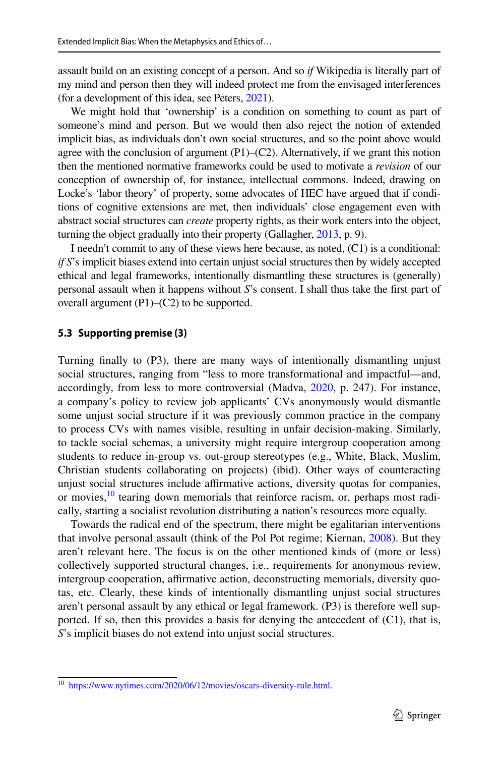assault build on an existing concept of a person. And so *if* Wikipedia is literally part of my mind and person then they will indeed protect me from the envisaged interferences (for a development of this idea, see Peters, [2021](#page-21-9)).

We might hold that 'ownership' is a condition on something to count as part of someone's mind and person. But we would then also reject the notion of extended implicit bias, as individuals don't own social structures, and so the point above would agree with the conclusion of argument  $(P1)$ – $(C2)$ . Alternatively, if we grant this notion then the mentioned normative frameworks could be used to motivate a *revision* of our conception of ownership of, for instance, intellectual commons. Indeed, drawing on Locke's 'labor theory' of property, some advocates of HEC have argued that if conditions of cognitive extensions are met, then individuals' close engagement even with abstract social structures can *create* property rights, as their work enters into the object, turning the object gradually into their property (Gallagher, [2013](#page-20-14), p. 9).

I needn't commit to any of these views here because, as noted, (C1) is a conditional: *if S*'s implicit biases extend into certain unjust social structures then by widely accepted ethical and legal frameworks, intentionally dismantling these structures is (generally) personal assault when it happens without *S*'s consent. I shall thus take the frst part of overall argument (P1)–(C2) to be supported.

#### **5.3 Supporting premise (3)**

Turning fnally to (P3), there are many ways of intentionally dismantling unjust social structures, ranging from "less to more transformational and impactful—and, accordingly, from less to more controversial (Madva, [2020,](#page-21-1) p. 247). For instance, a company's policy to review job applicants' CVs anonymously would dismantle some unjust social structure if it was previously common practice in the company to process CVs with names visible, resulting in unfair decision-making. Similarly, to tackle social schemas, a university might require intergroup cooperation among students to reduce in-group vs. out-group stereotypes (e.g., White, Black, Muslim, Christian students collaborating on projects) (ibid). Other ways of counteracting unjust social structures include afrmative actions, diversity quotas for companies, or movies,<sup>[10](#page-14-0)</sup> tearing down memorials that reinforce racism, or, perhaps most radically, starting a socialist revolution distributing a nation's resources more equally.

Towards the radical end of the spectrum, there might be egalitarian interventions that involve personal assault (think of the Pol Pot regime; Kiernan, [2008](#page-21-19)). But they aren't relevant here. The focus is on the other mentioned kinds of (more or less) collectively supported structural changes, i.e., requirements for anonymous review, intergroup cooperation, affirmative action, deconstructing memorials, diversity quotas, etc. Clearly, these kinds of intentionally dismantling unjust social structures aren't personal assault by any ethical or legal framework. (P3) is therefore well supported. If so, then this provides a basis for denying the antecedent of (C1), that is, *S*'s implicit biases do not extend into unjust social structures.

<span id="page-14-0"></span><sup>10</sup> [https://www.nytimes.com/2020/06/12/movies/oscars-diversity-rule.html.](https://www.nytimes.com/2020/06/12/movies/oscars-diversity-rule.html)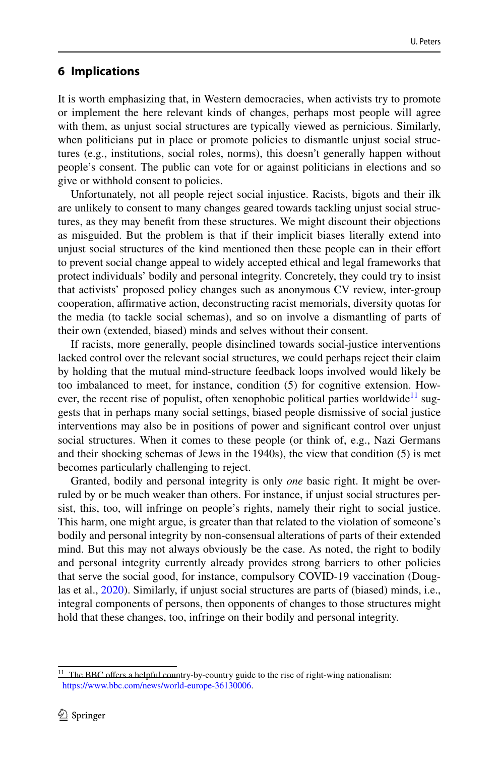## **6 Implications**

It is worth emphasizing that, in Western democracies, when activists try to promote or implement the here relevant kinds of changes, perhaps most people will agree with them, as unjust social structures are typically viewed as pernicious. Similarly, when politicians put in place or promote policies to dismantle unjust social structures (e.g., institutions, social roles, norms), this doesn't generally happen without people's consent. The public can vote for or against politicians in elections and so give or withhold consent to policies.

Unfortunately, not all people reject social injustice. Racists, bigots and their ilk are unlikely to consent to many changes geared towards tackling unjust social structures, as they may beneft from these structures. We might discount their objections as misguided. But the problem is that if their implicit biases literally extend into unjust social structures of the kind mentioned then these people can in their efort to prevent social change appeal to widely accepted ethical and legal frameworks that protect individuals' bodily and personal integrity. Concretely, they could try to insist that activists' proposed policy changes such as anonymous CV review, inter-group cooperation, afrmative action, deconstructing racist memorials, diversity quotas for the media (to tackle social schemas), and so on involve a dismantling of parts of their own (extended, biased) minds and selves without their consent.

If racists, more generally, people disinclined towards social-justice interventions lacked control over the relevant social structures, we could perhaps reject their claim by holding that the mutual mind-structure feedback loops involved would likely be too imbalanced to meet, for instance, condition (5) for cognitive extension. How-ever, the recent rise of populist, often xenophobic political parties worldwide<sup>[11](#page-15-0)</sup> suggests that in perhaps many social settings, biased people dismissive of social justice interventions may also be in positions of power and signifcant control over unjust social structures. When it comes to these people (or think of, e.g., Nazi Germans and their shocking schemas of Jews in the 1940s), the view that condition (5) is met becomes particularly challenging to reject.

Granted, bodily and personal integrity is only *one* basic right. It might be overruled by or be much weaker than others. For instance, if unjust social structures persist, this, too, will infringe on people's rights, namely their right to social justice. This harm, one might argue, is greater than that related to the violation of someone's bodily and personal integrity by non-consensual alterations of parts of their extended mind. But this may not always obviously be the case. As noted, the right to bodily and personal integrity currently already provides strong barriers to other policies that serve the social good, for instance, compulsory COVID-19 vaccination (Douglas et al., [2020](#page-20-19)). Similarly, if unjust social structures are parts of (biased) minds, i.e., integral components of persons, then opponents of changes to those structures might hold that these changes, too, infringe on their bodily and personal integrity.

<span id="page-15-0"></span> $11$  The BBC offers a helpful country-by-country guide to the rise of right-wing nationalism: <https://www.bbc.com/news/world-europe-36130006>.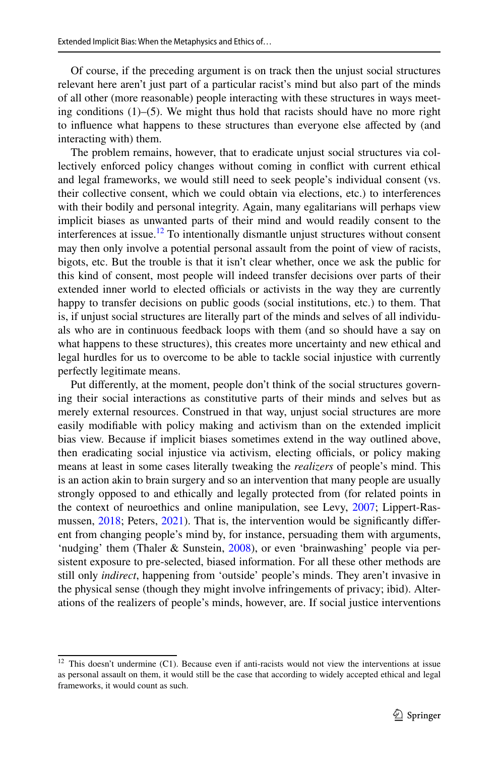Of course, if the preceding argument is on track then the unjust social structures relevant here aren't just part of a particular racist's mind but also part of the minds of all other (more reasonable) people interacting with these structures in ways meeting conditions  $(1)$ –(5). We might thus hold that racists should have no more right to infuence what happens to these structures than everyone else afected by (and interacting with) them.

The problem remains, however, that to eradicate unjust social structures via collectively enforced policy changes without coming in confict with current ethical and legal frameworks, we would still need to seek people's individual consent (vs. their collective consent, which we could obtain via elections, etc.) to interferences with their bodily and personal integrity. Again, many egalitarians will perhaps view implicit biases as unwanted parts of their mind and would readily consent to the interferences at issue.<sup>12</sup> To intentionally dismantle unjust structures without consent may then only involve a potential personal assault from the point of view of racists, bigots, etc. But the trouble is that it isn't clear whether, once we ask the public for this kind of consent, most people will indeed transfer decisions over parts of their extended inner world to elected officials or activists in the way they are currently happy to transfer decisions on public goods (social institutions, etc.) to them. That is, if unjust social structures are literally part of the minds and selves of all individuals who are in continuous feedback loops with them (and so should have a say on what happens to these structures), this creates more uncertainty and new ethical and legal hurdles for us to overcome to be able to tackle social injustice with currently perfectly legitimate means.

Put diferently, at the moment, people don't think of the social structures governing their social interactions as constitutive parts of their minds and selves but as merely external resources. Construed in that way, unjust social structures are more easily modifable with policy making and activism than on the extended implicit bias view. Because if implicit biases sometimes extend in the way outlined above, then eradicating social injustice via activism, electing officials, or policy making means at least in some cases literally tweaking the *realizers* of people's mind. This is an action akin to brain surgery and so an intervention that many people are usually strongly opposed to and ethically and legally protected from (for related points in the context of neuroethics and online manipulation, see Levy, [2007;](#page-21-20) Lippert-Ras-mussen, [2018;](#page-21-15) Peters, [2021](#page-21-9)). That is, the intervention would be significantly different from changing people's mind by, for instance, persuading them with arguments, 'nudging' them (Thaler & Sunstein, [2008](#page-21-21)), or even 'brainwashing' people via persistent exposure to pre-selected, biased information. For all these other methods are still only *indirect*, happening from 'outside' people's minds. They aren't invasive in the physical sense (though they might involve infringements of privacy; ibid). Alterations of the realizers of people's minds, however, are. If social justice interventions

<span id="page-16-0"></span> $12$  This doesn't undermine (C1). Because even if anti-racists would not view the interventions at issue as personal assault on them, it would still be the case that according to widely accepted ethical and legal frameworks, it would count as such.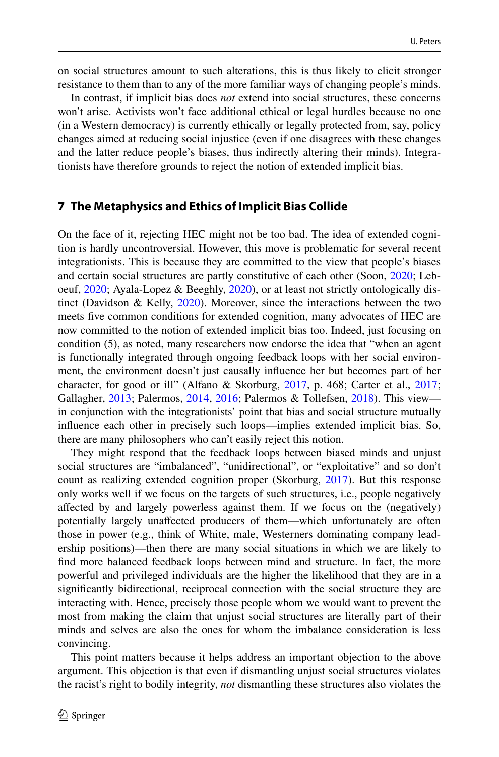on social structures amount to such alterations, this is thus likely to elicit stronger resistance to them than to any of the more familiar ways of changing people's minds.

In contrast, if implicit bias does *not* extend into social structures, these concerns won't arise. Activists won't face additional ethical or legal hurdles because no one (in a Western democracy) is currently ethically or legally protected from, say, policy changes aimed at reducing social injustice (even if one disagrees with these changes and the latter reduce people's biases, thus indirectly altering their minds). Integrationists have therefore grounds to reject the notion of extended implicit bias.

## <span id="page-17-0"></span>**7 The Metaphysics and Ethics of Implicit Bias Collide**

On the face of it, rejecting HEC might not be too bad. The idea of extended cognition is hardly uncontroversial. However, this move is problematic for several recent integrationists. This is because they are committed to the view that people's biases and certain social structures are partly constitutive of each other (Soon, [2020;](#page-21-5) Leboeuf, [2020](#page-21-4); Ayala-Lopez & Beeghly, [2020\)](#page-20-4), or at least not strictly ontologically distinct (Davidson & Kelly, [2020](#page-20-5)). Moreover, since the interactions between the two meets fve common conditions for extended cognition, many advocates of HEC are now committed to the notion of extended implicit bias too. Indeed, just focusing on condition (5), as noted, many researchers now endorse the idea that "when an agent is functionally integrated through ongoing feedback loops with her social environment, the environment doesn't just causally infuence her but becomes part of her character, for good or ill" (Alfano & Skorburg, [2017](#page-20-11), p. 468; Carter et al., [2017;](#page-20-12) Gallagher, [2013;](#page-20-14) Palermos, [2014](#page-21-8), [2016;](#page-21-11) Palermos & Tollefsen, [2018](#page-21-10)). This view in conjunction with the integrationists' point that bias and social structure mutually infuence each other in precisely such loops—implies extended implicit bias. So, there are many philosophers who can't easily reject this notion.

They might respond that the feedback loops between biased minds and unjust social structures are "imbalanced", "unidirectional", or "exploitative" and so don't count as realizing extended cognition proper (Skorburg, [2017\)](#page-21-22). But this response only works well if we focus on the targets of such structures, i.e., people negatively afected by and largely powerless against them. If we focus on the (negatively) potentially largely unafected producers of them—which unfortunately are often those in power (e.g., think of White, male, Westerners dominating company leadership positions)—then there are many social situations in which we are likely to fnd more balanced feedback loops between mind and structure. In fact, the more powerful and privileged individuals are the higher the likelihood that they are in a signifcantly bidirectional, reciprocal connection with the social structure they are interacting with. Hence, precisely those people whom we would want to prevent the most from making the claim that unjust social structures are literally part of their minds and selves are also the ones for whom the imbalance consideration is less convincing.

This point matters because it helps address an important objection to the above argument. This objection is that even if dismantling unjust social structures violates the racist's right to bodily integrity, *not* dismantling these structures also violates the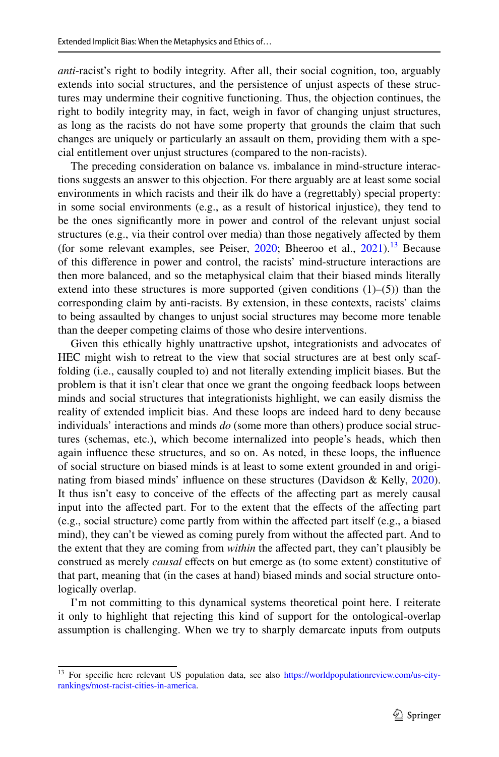*anti*-racist's right to bodily integrity. After all, their social cognition, too, arguably extends into social structures, and the persistence of unjust aspects of these structures may undermine their cognitive functioning. Thus, the objection continues, the right to bodily integrity may, in fact, weigh in favor of changing unjust structures, as long as the racists do not have some property that grounds the claim that such changes are uniquely or particularly an assault on them, providing them with a special entitlement over unjust structures (compared to the non-racists).

The preceding consideration on balance vs. imbalance in mind-structure interactions suggests an answer to this objection. For there arguably are at least some social environments in which racists and their ilk do have a (regrettably) special property: in some social environments (e.g., as a result of historical injustice), they tend to be the ones signifcantly more in power and control of the relevant unjust social structures (e.g., via their control over media) than those negatively afected by them (for some relevant examples, see Peiser, [2020](#page-21-23); Bheeroo et al., [2021\)](#page-20-21).<sup>13</sup> Because of this diference in power and control, the racists' mind-structure interactions are then more balanced, and so the metaphysical claim that their biased minds literally extend into these structures is more supported (given conditions (1)–(5)) than the corresponding claim by anti-racists. By extension, in these contexts, racists' claims to being assaulted by changes to unjust social structures may become more tenable than the deeper competing claims of those who desire interventions.

Given this ethically highly unattractive upshot, integrationists and advocates of HEC might wish to retreat to the view that social structures are at best only scaffolding (i.e., causally coupled to) and not literally extending implicit biases. But the problem is that it isn't clear that once we grant the ongoing feedback loops between minds and social structures that integrationists highlight, we can easily dismiss the reality of extended implicit bias. And these loops are indeed hard to deny because individuals' interactions and minds *do* (some more than others) produce social structures (schemas, etc.), which become internalized into people's heads, which then again infuence these structures, and so on. As noted, in these loops, the infuence of social structure on biased minds is at least to some extent grounded in and originating from biased minds' infuence on these structures (Davidson & Kelly, [2020\)](#page-20-5). It thus isn't easy to conceive of the efects of the afecting part as merely causal input into the affected part. For to the extent that the effects of the affecting part (e.g., social structure) come partly from within the afected part itself (e.g., a biased mind), they can't be viewed as coming purely from without the affected part. And to the extent that they are coming from *within* the afected part, they can't plausibly be construed as merely *causal* efects on but emerge as (to some extent) constitutive of that part, meaning that (in the cases at hand) biased minds and social structure ontologically overlap.

I'm not committing to this dynamical systems theoretical point here. I reiterate it only to highlight that rejecting this kind of support for the ontological-overlap assumption is challenging. When we try to sharply demarcate inputs from outputs

<span id="page-18-0"></span><sup>&</sup>lt;sup>13</sup> For specific here relevant US population data, see also [https://worldpopulationreview.com/us-city](https://worldpopulationreview.com/us-city-rankings/most-racist-cities-in-america)[rankings/most-racist-cities-in-america.](https://worldpopulationreview.com/us-city-rankings/most-racist-cities-in-america)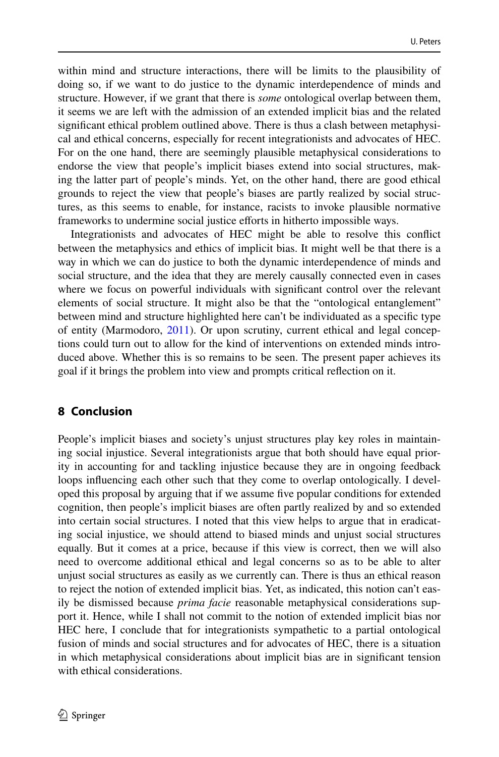within mind and structure interactions, there will be limits to the plausibility of doing so, if we want to do justice to the dynamic interdependence of minds and structure. However, if we grant that there is *some* ontological overlap between them, it seems we are left with the admission of an extended implicit bias and the related signifcant ethical problem outlined above. There is thus a clash between metaphysical and ethical concerns, especially for recent integrationists and advocates of HEC. For on the one hand, there are seemingly plausible metaphysical considerations to endorse the view that people's implicit biases extend into social structures, making the latter part of people's minds. Yet, on the other hand, there are good ethical grounds to reject the view that people's biases are partly realized by social structures, as this seems to enable, for instance, racists to invoke plausible normative frameworks to undermine social justice efforts in hitherto impossible ways.

Integrationists and advocates of HEC might be able to resolve this confict between the metaphysics and ethics of implicit bias. It might well be that there is a way in which we can do justice to both the dynamic interdependence of minds and social structure, and the idea that they are merely causally connected even in cases where we focus on powerful individuals with signifcant control over the relevant elements of social structure. It might also be that the "ontological entanglement" between mind and structure highlighted here can't be individuated as a specifc type of entity (Marmodoro, [2011](#page-21-24)). Or upon scrutiny, current ethical and legal conceptions could turn out to allow for the kind of interventions on extended minds introduced above. Whether this is so remains to be seen. The present paper achieves its goal if it brings the problem into view and prompts critical refection on it.

# **8 Conclusion**

People's implicit biases and society's unjust structures play key roles in maintaining social injustice. Several integrationists argue that both should have equal priority in accounting for and tackling injustice because they are in ongoing feedback loops infuencing each other such that they come to overlap ontologically. I developed this proposal by arguing that if we assume fve popular conditions for extended cognition, then people's implicit biases are often partly realized by and so extended into certain social structures. I noted that this view helps to argue that in eradicating social injustice, we should attend to biased minds and unjust social structures equally. But it comes at a price, because if this view is correct, then we will also need to overcome additional ethical and legal concerns so as to be able to alter unjust social structures as easily as we currently can. There is thus an ethical reason to reject the notion of extended implicit bias. Yet, as indicated, this notion can't easily be dismissed because *prima facie* reasonable metaphysical considerations support it. Hence, while I shall not commit to the notion of extended implicit bias nor HEC here, I conclude that for integrationists sympathetic to a partial ontological fusion of minds and social structures and for advocates of HEC, there is a situation in which metaphysical considerations about implicit bias are in signifcant tension with ethical considerations.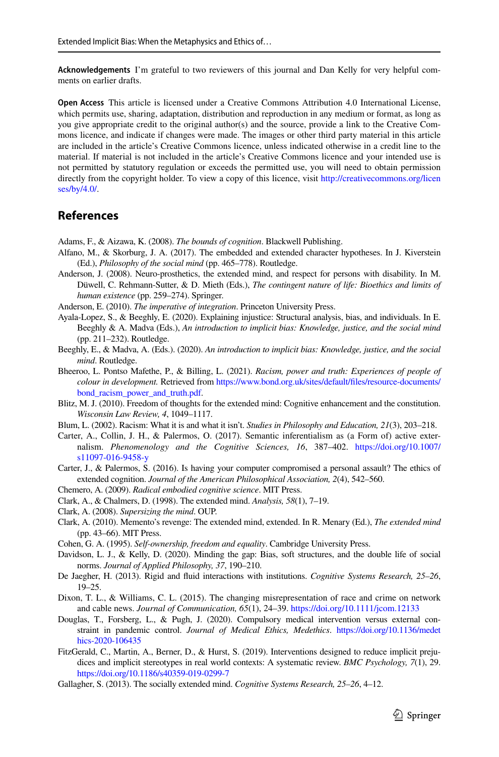**Acknowledgements** I'm grateful to two reviewers of this journal and Dan Kelly for very helpful comments on earlier drafts.

**Open Access** This article is licensed under a Creative Commons Attribution 4.0 International License, which permits use, sharing, adaptation, distribution and reproduction in any medium or format, as long as you give appropriate credit to the original author(s) and the source, provide a link to the Creative Commons licence, and indicate if changes were made. The images or other third party material in this article are included in the article's Creative Commons licence, unless indicated otherwise in a credit line to the material. If material is not included in the article's Creative Commons licence and your intended use is not permitted by statutory regulation or exceeds the permitted use, you will need to obtain permission directly from the copyright holder. To view a copy of this licence, visit [http://creativecommons.org/licen](http://creativecommons.org/licenses/by/4.0/) [ses/by/4.0/](http://creativecommons.org/licenses/by/4.0/).

# **References**

<span id="page-20-7"></span>Adams, F., & Aizawa, K. (2008). *The bounds of cognition*. Blackwell Publishing.

- <span id="page-20-11"></span>Alfano, M., & Skorburg, J. A. (2017). The embedded and extended character hypotheses. In J. Kiverstein (Ed.), *Philosophy of the social mind* (pp. 465–778). Routledge.
- <span id="page-20-20"></span>Anderson, J. (2008). Neuro-prosthetics, the extended mind, and respect for persons with disability. In M. Düwell, C. Rehmann-Sutter, & D. Mieth (Eds.), *The contingent nature of life: Bioethics and limits of human existence* (pp. 259–274). Springer.
- <span id="page-20-3"></span>Anderson, E. (2010). *The imperative of integration*. Princeton University Press.
- <span id="page-20-4"></span>Ayala-Lopez, S., & Beeghly, E. (2020). Explaining injustice: Structural analysis, bias, and individuals. In E. Beeghly & A. Madva (Eds.), *An introduction to implicit bias: Knowledge, justice, and the social mind* (pp. 211–232). Routledge.
- <span id="page-20-1"></span>Beeghly, E., & Madva, A. (Eds.). (2020). *An introduction to implicit bias: Knowledge, justice, and the social mind*. Routledge.
- <span id="page-20-21"></span>Bheeroo, L. Pontso Mafethe, P., & Billing, L. (2021). *Racism, power and truth: Experiences of people of colour in development.* Retrieved from [https://www.bond.org.uk/sites/default/fles/resource-documents/](https://www.bond.org.uk/sites/default/files/resource-documents/bond_racism_power_and_truth.pdf) bond racism power and truth.pdf.
- <span id="page-20-18"></span>Blitz, M. J. (2010). Freedom of thoughts for the extended mind: Cognitive enhancement and the constitution. *Wisconsin Law Review, 4*, 1049–1117.
- <span id="page-20-2"></span>Blum, L. (2002). Racism: What it is and what it isn't. *Studies in Philosophy and Education, 21*(3), 203–218.
- <span id="page-20-12"></span>Carter, A., Collin, J. H., & Palermos, O. (2017). Semantic inferentialism as (a Form of) active externalism. *Phenomenology and the Cognitive Sciences, 16*, 387–402. [https://doi.org/10.1007/](https://doi.org/10.1007/s11097-016-9458-y) [s11097-016-9458-y](https://doi.org/10.1007/s11097-016-9458-y)
- <span id="page-20-16"></span>Carter, J., & Palermos, S. (2016). Is having your computer compromised a personal assault? The ethics of extended cognition. *Journal of the American Philosophical Association, 2*(4), 542–560.
- <span id="page-20-10"></span>Chemero, A. (2009). *Radical embodied cognitive science*. MIT Press.
- <span id="page-20-6"></span>Clark, A., & Chalmers, D. (1998). The extended mind. *Analysis, 58*(1), 7–19.
- <span id="page-20-9"></span>Clark, A. (2008). *Supersizing the mind*. OUP.
- <span id="page-20-8"></span>Clark, A. (2010). Memento's revenge: The extended mind, extended. In R. Menary (Ed.), *The extended mind* (pp. 43–66). MIT Press.
- <span id="page-20-17"></span>Cohen, G. A. (1995). *Self-ownership, freedom and equality*. Cambridge University Press.
- <span id="page-20-5"></span>Davidson, L. J., & Kelly, D. (2020). Minding the gap: Bias, soft structures, and the double life of social norms. *Journal of Applied Philosophy, 37*, 190–210.
- <span id="page-20-13"></span>De Jaegher, H. (2013). Rigid and fuid interactions with institutions. *Cognitive Systems Research, 25–26*, 19–25.
- <span id="page-20-15"></span>Dixon, T. L., & Williams, C. L. (2015). The changing misrepresentation of race and crime on network and cable news. *Journal of Communication, 65*(1), 24–39.<https://doi.org/10.1111/jcom.12133>
- <span id="page-20-19"></span>Douglas, T., Forsberg, L., & Pugh, J. (2020). Compulsory medical intervention versus external constraint in pandemic control. *Journal of Medical Ethics, Medethics*. [https://doi.org/10.1136/medet](https://doi.org/10.1136/medethics-2020-106435) [hics-2020-106435](https://doi.org/10.1136/medethics-2020-106435)
- <span id="page-20-0"></span>FitzGerald, C., Martin, A., Berner, D., & Hurst, S. (2019). Interventions designed to reduce implicit prejudices and implicit stereotypes in real world contexts: A systematic review. *BMC Psychology, 7*(1), 29. <https://doi.org/10.1186/s40359-019-0299-7>
- <span id="page-20-14"></span>Gallagher, S. (2013). The socially extended mind. *Cognitive Systems Research, 25–26*, 4–12.